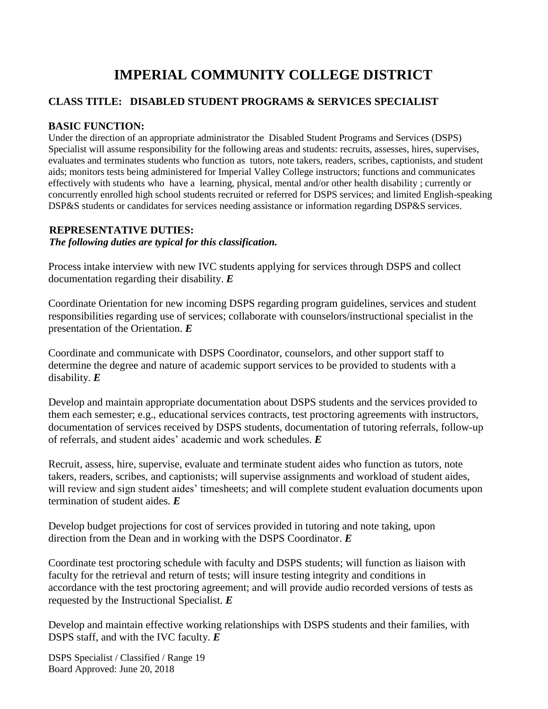# **IMPERIAL COMMUNITY COLLEGE DISTRICT**

# **CLASS TITLE: DISABLED STUDENT PROGRAMS & SERVICES SPECIALIST**

# **BASIC FUNCTION:**

Under the direction of an appropriate administrator the Disabled Student Programs and Services (DSPS) Specialist will assume responsibility for the following areas and students: recruits, assesses, hires, supervises, evaluates and terminates students who function as tutors, note takers, readers, scribes, captionists, and student aids; monitors tests being administered for Imperial Valley College instructors; functions and communicates effectively with students who have a learning, physical, mental and/or other health disability ; currently or concurrently enrolled high school students recruited or referred for DSPS services; and limited English-speaking DSP&S students or candidates for services needing assistance or information regarding DSP&S services.

#### **REPRESENTATIVE DUTIES:**

*The following duties are typical for this classification.*

Process intake interview with new IVC students applying for services through DSPS and collect documentation regarding their disability. *E*

Coordinate Orientation for new incoming DSPS regarding program guidelines, services and student responsibilities regarding use of services; collaborate with counselors/instructional specialist in the presentation of the Orientation. *E*

Coordinate and communicate with DSPS Coordinator, counselors, and other support staff to determine the degree and nature of academic support services to be provided to students with a disability. *E*

Develop and maintain appropriate documentation about DSPS students and the services provided to them each semester; e.g., educational services contracts, test proctoring agreements with instructors, documentation of services received by DSPS students, documentation of tutoring referrals, follow-up of referrals, and student aides' academic and work schedules. *E*

Recruit, assess, hire, supervise, evaluate and terminate student aides who function as tutors, note takers, readers, scribes, and captionists; will supervise assignments and workload of student aides, will review and sign student aides' timesheets; and will complete student evaluation documents upon termination of student aides. *E*

Develop budget projections for cost of services provided in tutoring and note taking, upon direction from the Dean and in working with the DSPS Coordinator. *E*

Coordinate test proctoring schedule with faculty and DSPS students; will function as liaison with faculty for the retrieval and return of tests; will insure testing integrity and conditions in accordance with the test proctoring agreement; and will provide audio recorded versions of tests as requested by the Instructional Specialist. *E*

Develop and maintain effective working relationships with DSPS students and their families, with DSPS staff, and with the IVC faculty. *E*

DSPS Specialist / Classified / Range 19 Board Approved: June 20, 2018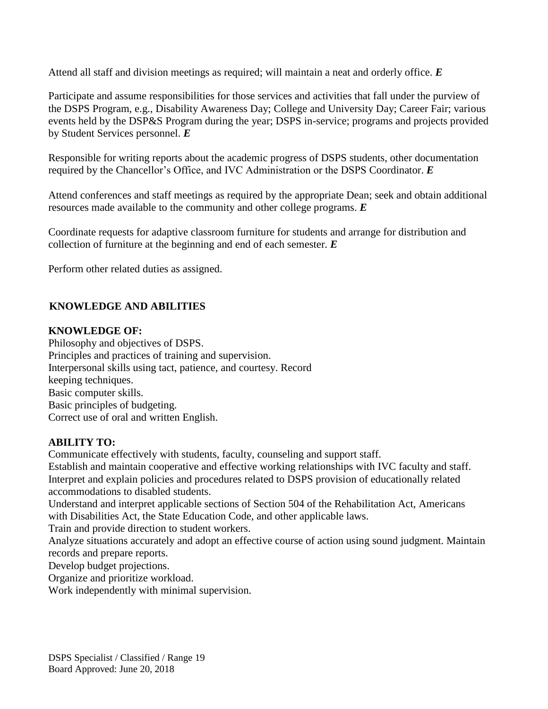Attend all staff and division meetings as required; will maintain a neat and orderly office. *E*

Participate and assume responsibilities for those services and activities that fall under the purview of the DSPS Program, e.g., Disability Awareness Day; College and University Day; Career Fair; various events held by the DSP&S Program during the year; DSPS in-service; programs and projects provided by Student Services personnel. *E*

Responsible for writing reports about the academic progress of DSPS students, other documentation required by the Chancellor's Office, and IVC Administration or the DSPS Coordinator. *E*

Attend conferences and staff meetings as required by the appropriate Dean; seek and obtain additional resources made available to the community and other college programs. *E*

Coordinate requests for adaptive classroom furniture for students and arrange for distribution and collection of furniture at the beginning and end of each semester. *E*

Perform other related duties as assigned.

# **KNOWLEDGE AND ABILITIES**

# **KNOWLEDGE OF:**

Philosophy and objectives of DSPS. Principles and practices of training and supervision. Interpersonal skills using tact, patience, and courtesy. Record keeping techniques. Basic computer skills. Basic principles of budgeting. Correct use of oral and written English.

#### **ABILITY TO:**

Communicate effectively with students, faculty, counseling and support staff. Establish and maintain cooperative and effective working relationships with IVC faculty and staff. Interpret and explain policies and procedures related to DSPS provision of educationally related accommodations to disabled students.

Understand and interpret applicable sections of Section 504 of the Rehabilitation Act, Americans with Disabilities Act, the State Education Code, and other applicable laws.

Train and provide direction to student workers.

Analyze situations accurately and adopt an effective course of action using sound judgment. Maintain records and prepare reports.

Develop budget projections.

Organize and prioritize workload.

Work independently with minimal supervision.